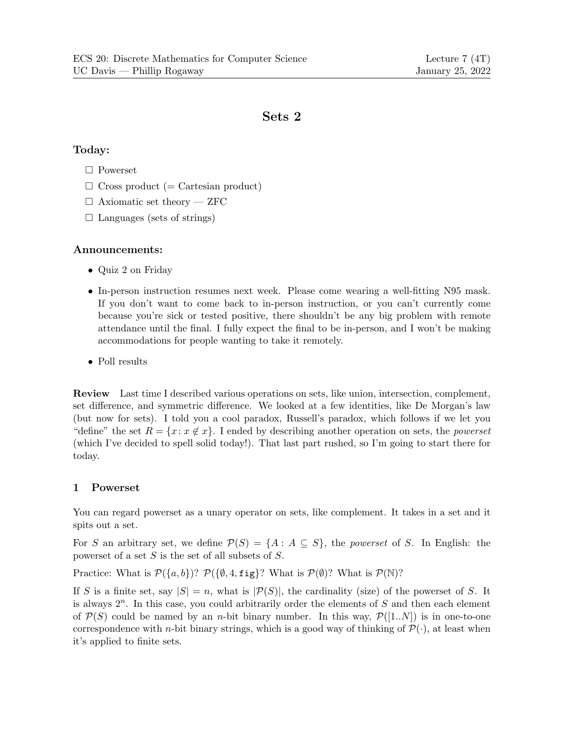# Sets 2

## Today:

- Powerset
- $\Box$  Cross product (= Cartesian product)
- $\Box$  Axiomatic set theory ZFC
- $\Box$  Languages (sets of strings)

### Announcements:

- Quiz 2 on Friday
- In-person instruction resumes next week. Please come wearing a well-fitting N95 mask. If you don't want to come back to in-person instruction, or you can't currently come because you're sick or tested positive, there shouldn't be any big problem with remote attendance until the final. I fully expect the final to be in-person, and I won't be making accommodations for people wanting to take it remotely.
- Poll results

Review Last time I described various operations on sets, like union, intersection, complement, set difference, and symmetric difference. We looked at a few identities, like De Morgan's law (but now for sets). I told you a cool paradox, Russell's paradox, which follows if we let you "define" the set  $R = \{x : x \notin x\}$ . I ended by describing another operation on sets, the *powerset* (which I've decided to spell solid today!). That last part rushed, so I'm going to start there for today.

### 1 Powerset

You can regard powerset as a unary operator on sets, like complement. It takes in a set and it spits out a set.

For S an arbitrary set, we define  $\mathcal{P}(S) = \{A : A \subseteq S\}$ , the powerset of S. In English: the powerset of a set  $S$  is the set of all subsets of  $S$ .

Practice: What is  $\mathcal{P}(\{a, b\})$ ?  $\mathcal{P}(\{\emptyset, 4, \text{fig}\}\})$ ? What is  $\mathcal{P}(\emptyset)$ ? What is  $\mathcal{P}(\mathbb{N})$ ?

If S is a finite set, say  $|S| = n$ , what is  $|\mathcal{P}(S)|$ , the cardinality (size) of the powerset of S. It is always  $2^n$ . In this case, you could arbitrarily order the elements of S and then each element of  $\mathcal{P}(S)$  could be named by an *n*-bit binary number. In this way,  $\mathcal{P}([1..N])$  is in one-to-one correspondence with *n*-bit binary strings, which is a good way of thinking of  $\mathcal{P}(\cdot)$ , at least when it's applied to finite sets.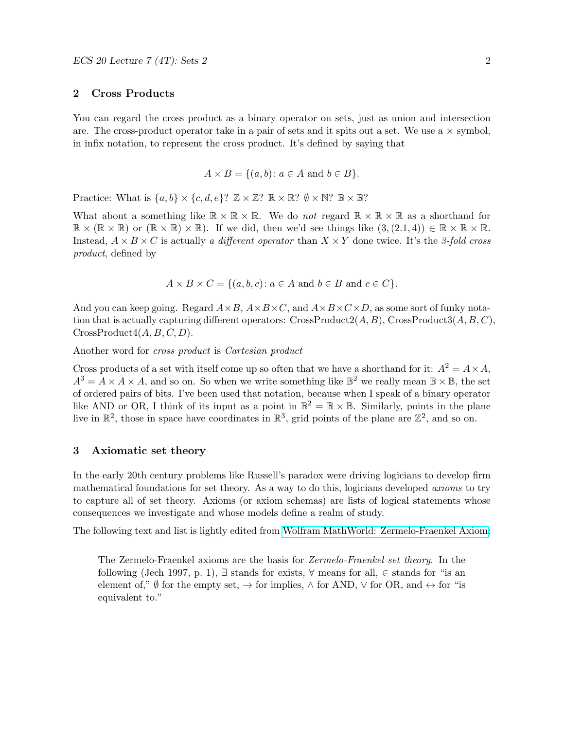#### 2 Cross Products

You can regard the cross product as a binary operator on sets, just as union and intersection are. The cross-product operator take in a pair of sets and it spits out a set. We use a  $\times$  symbol, in infix notation, to represent the cross product. It's defined by saying that

$$
A \times B = \{(a, b) : a \in A \text{ and } b \in B\}.
$$

Practice: What is  $\{a, b\} \times \{c, d, e\}$ ?  $\mathbb{Z} \times \mathbb{Z}$ ?  $\mathbb{R} \times \mathbb{R}$ ?  $\emptyset \times \mathbb{N}$ ?  $\mathbb{B} \times \mathbb{B}$ ?

What about a something like  $\mathbb{R} \times \mathbb{R} \times \mathbb{R}$ . We do not regard  $\mathbb{R} \times \mathbb{R} \times \mathbb{R}$  as a shorthand for  $\mathbb{R} \times (\mathbb{R} \times \mathbb{R})$  or  $(\mathbb{R} \times \mathbb{R}) \times \mathbb{R}$ . If we did, then we'd see things like  $(3,(2.1,4)) \in \mathbb{R} \times \mathbb{R} \times \mathbb{R}$ . Instead,  $A \times B \times C$  is actually a different operator than  $X \times Y$  done twice. It's the 3-fold cross product, defined by

 $A \times B \times C = \{(a, b, c): a \in A \text{ and } b \in B \text{ and } c \in C\}.$ 

And you can keep going. Regard  $A \times B$ ,  $A \times B \times C$ , and  $A \times B \times C \times D$ , as some sort of funky notation that is actually capturing different operators:  $CrossProduct2(A, B)$ ,  $CrossProduct3(A, B, C)$ ,  $CrossProduct4(A, B, C, D).$ 

Another word for cross product is Cartesian product

Cross products of a set with itself come up so often that we have a shorthand for it:  $A^2 = A \times A$ ,  $A^3 = A \times A \times A$ , and so on. So when we write something like  $\mathbb{B}^2$  we really mean  $\mathbb{B} \times \mathbb{B}$ , the set of ordered pairs of bits. I've been used that notation, because when I speak of a binary operator like AND or OR, I think of its input as a point in  $\mathbb{B}^2 = \mathbb{B} \times \mathbb{B}$ . Similarly, points in the plane live in  $\mathbb{R}^2$ , those in space have coordinates in  $\mathbb{R}^3$ , grid points of the plane are  $\mathbb{Z}^2$ , and so on.

### 3 Axiomatic set theory

In the early 20th century problems like Russell's paradox were driving logicians to develop firm mathematical foundations for set theory. As a way to do this, logicians developed *axioms* to try to capture all of set theory. Axioms (or axiom schemas) are lists of logical statements whose consequences we investigate and whose models define a realm of study.

The following text and list is lightly edited from [Wolfram MathWorld: Zermelo-Fraenkel Axiom:](https://mathworld.wolfram.com/Zermelo-FraenkelAxioms.html)

The Zermelo-Fraenkel axioms are the basis for Zermelo-Fraenkel set theory. In the following (Jech 1997, p. 1),  $\exists$  stands for exists,  $\forall$  means for all,  $\in$  stands for "is an element of,"  $\emptyset$  for the empty set,  $\rightarrow$  for implies,  $\land$  for AND,  $\lor$  for OR, and  $\leftrightarrow$  for "is equivalent to."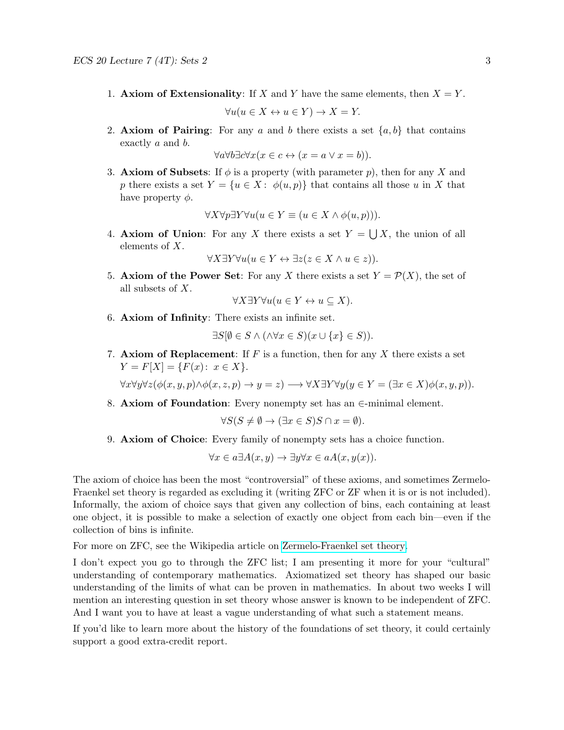- 1. Axiom of Extensionality: If X and Y have the same elements, then  $X = Y$ .  $\forall u (u \in X \leftrightarrow u \in Y) \rightarrow X = Y.$
- 2. Axiom of Pairing: For any a and b there exists a set  $\{a, b\}$  that contains exactly a and b.

$$
\forall a \forall b \exists c \forall x (x \in c \leftrightarrow (x = a \lor x = b)).
$$

3. Axiom of Subsets: If  $\phi$  is a property (with parameter p), then for any X and p there exists a set  $Y = \{u \in X : \phi(u, p)\}\$  that contains all those u in X that have property  $\phi$ .

$$
\forall X \forall p \exists Y \forall u (u \in Y \equiv (u \in X \land \phi(u, p))).
$$

4. Axiom of Union: For any X there exists a set  $Y = \bigcup X$ , the union of all elements of X.

 $\forall X \exists Y \forall u (u \in Y \leftrightarrow \exists z (z \in X \land u \in z)).$ 

5. Axiom of the Power Set: For any X there exists a set  $Y = \mathcal{P}(X)$ , the set of all subsets of X.

$$
\forall X \exists Y \forall u (u \in Y \leftrightarrow u \subseteq X).
$$

6. Axiom of Infinity: There exists an infinite set.

$$
\exists S[\emptyset \in S \land (\land \forall x \in S)(x \cup \{x\} \in S)).
$$

7. Axiom of Replacement: If  $F$  is a function, then for any  $X$  there exists a set  $Y = F[X] = {F(x): x \in X}.$ 

 $\forall x \forall y \forall z (\phi(x, y, p) \land \phi(x, z, p) \rightarrow y = z) \longrightarrow \forall X \exists Y \forall y (y \in Y = (\exists x \in X) \phi(x, y, p)).$ 

8. Axiom of Foundation: Every nonempty set has an  $\in$ -minimal element.

$$
\forall S(S \neq \emptyset \to (\exists x \in S)S \cap x = \emptyset).
$$

9. Axiom of Choice: Every family of nonempty sets has a choice function.

$$
\forall x \in a \exists A(x, y) \rightarrow \exists y \forall x \in aA(x, y(x)).
$$

The axiom of choice has been the most "controversial" of these axioms, and sometimes Zermelo-Fraenkel set theory is regarded as excluding it (writing ZFC or ZF when it is or is not included). Informally, the axiom of choice says that given any collection of bins, each containing at least one object, it is possible to make a selection of exactly one object from each bin—even if the collection of bins is infinite.

For more on ZFC, see the Wikipedia article on [Zermelo-Fraenkel set theory.](https://en.wikipedia.org/wiki/Zermelo-Fraenkel_set_theory)

I don't expect you go to through the ZFC list; I am presenting it more for your "cultural" understanding of contemporary mathematics. Axiomatized set theory has shaped our basic understanding of the limits of what can be proven in mathematics. In about two weeks I will mention an interesting question in set theory whose answer is known to be independent of ZFC. And I want you to have at least a vague understanding of what such a statement means.

If you'd like to learn more about the history of the foundations of set theory, it could certainly support a good extra-credit report.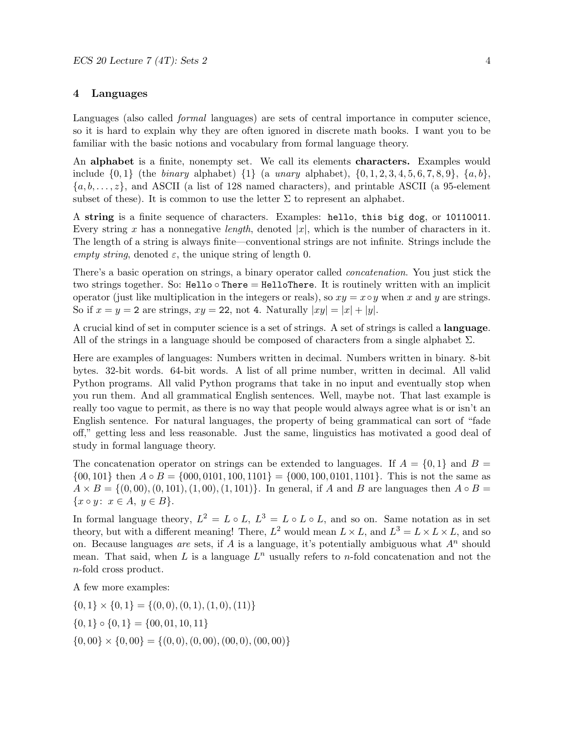### 4 Languages

Languages (also called *formal* languages) are sets of central importance in computer science, so it is hard to explain why they are often ignored in discrete math books. I want you to be familiar with the basic notions and vocabulary from formal language theory.

An alphabet is a finite, nonempty set. We call its elements characters. Examples would include  $\{0, 1\}$  (the *binary* alphabet)  $\{1\}$  (a *unary* alphabet),  $\{0, 1, 2, 3, 4, 5, 6, 7, 8, 9\}$ ,  $\{a, b\}$ ,  $\{a, b, \ldots, z\}$ , and ASCII (a list of 128 named characters), and printable ASCII (a 95-element subset of these). It is common to use the letter  $\Sigma$  to represent an alphabet.

A string is a finite sequence of characters. Examples: hello, this big dog, or 10110011. Every string x has a nonnegative length, denoted |x|, which is the number of characters in it. The length of a string is always finite—conventional strings are not infinite. Strings include the empty string, denoted  $\varepsilon$ , the unique string of length 0.

There's a basic operation on strings, a binary operator called concatenation. You just stick the two strings together. So: Hello  $\circ$  There = HelloThere. It is routinely written with an implicit operator (just like multiplication in the integers or reals), so  $xy = x \circ y$  when x and y are strings. So if  $x = y = 2$  are strings,  $xy = 22$ , not 4. Naturally  $|xy| = |x| + |y|$ .

A crucial kind of set in computer science is a set of strings. A set of strings is called a language. All of the strings in a language should be composed of characters from a single alphabet  $\Sigma$ .

Here are examples of languages: Numbers written in decimal. Numbers written in binary. 8-bit bytes. 32-bit words. 64-bit words. A list of all prime number, written in decimal. All valid Python programs. All valid Python programs that take in no input and eventually stop when you run them. And all grammatical English sentences. Well, maybe not. That last example is really too vague to permit, as there is no way that people would always agree what is or isn't an English sentence. For natural languages, the property of being grammatical can sort of "fade off," getting less and less reasonable. Just the same, linguistics has motivated a good deal of study in formal language theory.

The concatenation operator on strings can be extended to languages. If  $A = \{0, 1\}$  and  $B =$  $\{00, 101\}$  then  $A \circ B = \{000, 0101, 100, 1101\} = \{000, 100, 0101, 1101\}$ . This is not the same as  $A \times B = \{(0, 00), (0, 101), (1, 00), (1, 101)\}.$  In general, if A and B are languages then  $A \circ B =$  ${x \circ y: x \in A, y \in B}.$ 

In formal language theory,  $L^2 = L \circ L$ ,  $L^3 = L \circ L \circ L$ , and so on. Same notation as in set theory, but with a different meaning! There,  $L^2$  would mean  $L \times L$ , and  $L^3 = L \times L \times L$ , and so on. Because languages are sets, if A is a language, it's potentially ambiguous what  $A<sup>n</sup>$  should mean. That said, when L is a language  $L^n$  usually refers to *n*-fold concatenation and not the n-fold cross product.

A few more examples:

 $\{0, 1\} \times \{0, 1\} = \{(0, 0), (0, 1), (1, 0), (11)\}\$  $\{0, 1\} \circ \{0, 1\} = \{00, 01, 10, 11\}$  $\{0,00\} \times \{0,00\} = \{(0,0), (0,00), (00, 0), (00, 00)\}$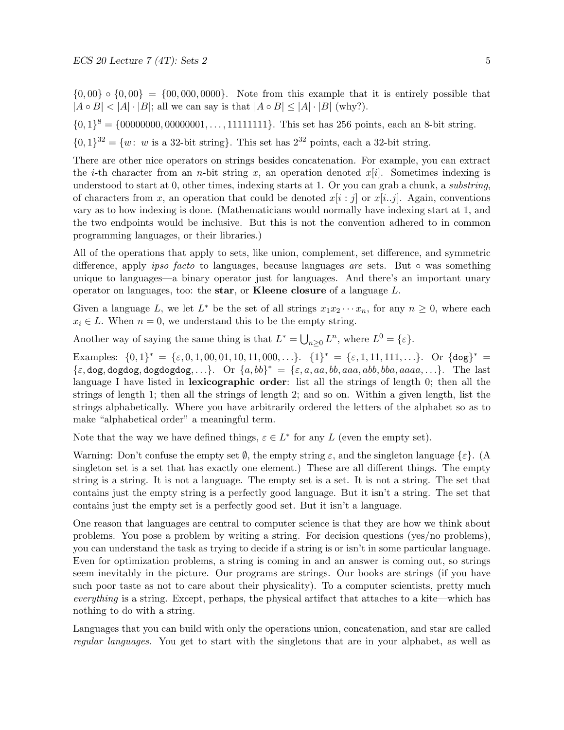$\{0,00\} \circ \{0,00\} = \{00,000,0000\}$ . Note from this example that it is entirely possible that  $|A \circ B| < |A| \cdot |B|$ ; all we can say is that  $|A \circ B| \leq |A| \cdot |B|$  (why?).

 $\{0,1\}^8 = \{00000000, 00000001, \ldots, 11111111\}$ . This set has 256 points, each an 8-bit string.

 $\{0,1\}^{32} = \{w: w \text{ is a } 32\text{-bit string}\}.$  This set has  $2^{32}$  points, each a 32-bit string.

There are other nice operators on strings besides concatenation. For example, you can extract the *i*-th character from an *n*-bit string x, an operation denoted  $x[i]$ . Sometimes indexing is understood to start at 0, other times, indexing starts at 1. Or you can grab a chunk, a *substring*, of characters from x, an operation that could be denoted  $x[i : j]$  or  $x[i..j]$ . Again, conventions vary as to how indexing is done. (Mathematicians would normally have indexing start at 1, and the two endpoints would be inclusive. But this is not the convention adhered to in common programming languages, or their libraries.)

All of the operations that apply to sets, like union, complement, set difference, and symmetric difference, apply *ipso facto* to languages, because languages *are* sets. But  $\circ$  was something unique to languages—a binary operator just for languages. And there's an important unary operator on languages, too: the star, or Kleene closure of a language L.

Given a language L, we let  $L^*$  be the set of all strings  $x_1x_2\cdots x_n$ , for any  $n \geq 0$ , where each  $x_i \in L$ . When  $n = 0$ , we understand this to be the empty string.

Another way of saying the same thing is that  $L^* = \bigcup_{n \geq 0} L^n$ , where  $L^0 = \{\varepsilon\}.$ 

Examples:  $\{0,1\}^* = \{\varepsilon, 0, 1, 00, 01, 10, 11, 000, \ldots\}$ .  $\{1\}^* = \{\varepsilon, 1, 11, 111, \ldots\}$ . Or  $\{\text{dog}\}^* =$  $\{\varepsilon, \text{dog}, \text{dogdog}, \text{dogdogdog}, ...\}$ . Or  $\{a, bb\}^* = \{\varepsilon, a, aa, bb, aaaa, abb, bba, aaaa, ...\}$ . The last language I have listed in **lexicographic order**: list all the strings of length 0; then all the strings of length 1; then all the strings of length 2; and so on. Within a given length, list the strings alphabetically. Where you have arbitrarily ordered the letters of the alphabet so as to make "alphabetical order" a meaningful term.

Note that the way we have defined things,  $\varepsilon \in L^*$  for any L (even the empty set).

Warning: Don't confuse the empty set  $\emptyset$ , the empty string  $\varepsilon$ , and the singleton language  $\{\varepsilon\}$ . (A singleton set is a set that has exactly one element.) These are all different things. The empty string is a string. It is not a language. The empty set is a set. It is not a string. The set that contains just the empty string is a perfectly good language. But it isn't a string. The set that contains just the empty set is a perfectly good set. But it isn't a language.

One reason that languages are central to computer science is that they are how we think about problems. You pose a problem by writing a string. For decision questions (yes/no problems), you can understand the task as trying to decide if a string is or isn't in some particular language. Even for optimization problems, a string is coming in and an answer is coming out, so strings seem inevitably in the picture. Our programs are strings. Our books are strings (if you have such poor taste as not to care about their physicality). To a computer scientists, pretty much everything is a string. Except, perhaps, the physical artifact that attaches to a kite—which has nothing to do with a string.

Languages that you can build with only the operations union, concatenation, and star are called regular languages. You get to start with the singletons that are in your alphabet, as well as